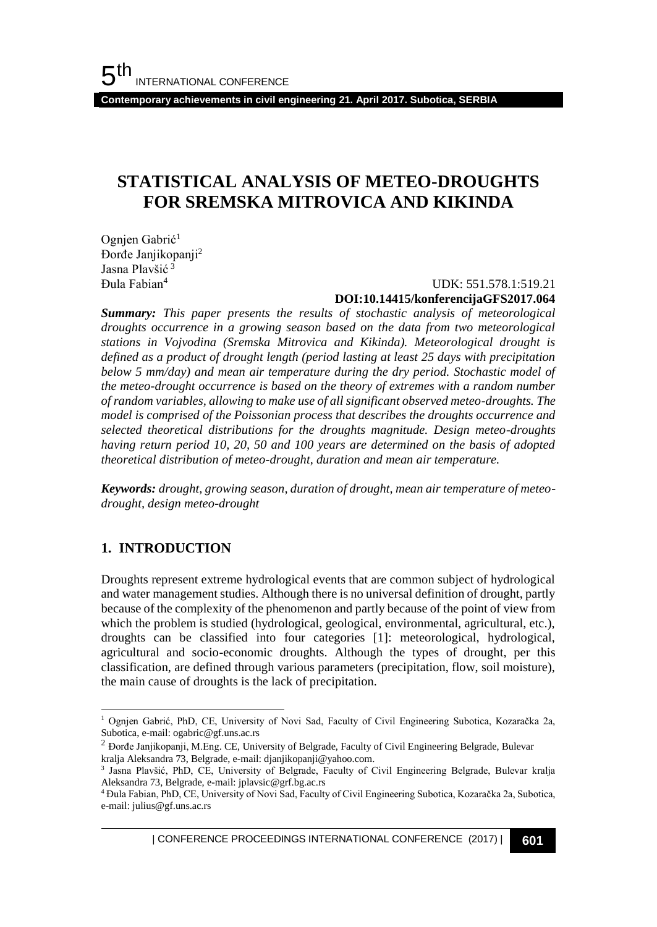**Contemporary achievements in civil engineering 21. April 2017. Subotica, SERBIA**

# **STATISTICAL ANALYSIS OF METEO-DROUGHTS FOR SREMSKA MITROVICA AND KIKINDA**

Ognjen Gabrić<sup>1</sup> Đorđe Janjikopanji<sup>2</sup> Jasna Plavšić <sup>3</sup> Đula Fabian<sup>4</sup>

#### UDK: 551.578.1:519.21 **DOI:10.14415/konferencijaGFS2017.064**

*Summary: This paper presents the results of stochastic analysis of meteorological droughts occurrence in a growing season based on the data from two meteorological stations in Vojvodina (Sremska Mitrovica and Kikinda). Meteorological drought is defined as a product of drought length (period lasting at least 25 days with precipitation below 5 mm/day) and mean air temperature during the dry period. Stochastic model of the meteo-drought occurrence is based on the theory of extremes with a random number of random variables, allowing to make use of all significant observed meteo-droughts. The model is comprised of the Poissonian process that describes the droughts occurrence and selected theoretical distributions for the droughts magnitude. Design meteo-droughts having return period 10, 20, 50 and 100 years are determined on the basis of adopted theoretical distribution of meteo-drought, duration and mean air temperature.*

*Keywords: drought, growing season, duration of drought, mean air temperature of meteodrought, design meteo-drought*

## **1. INTRODUCTION**

l

Droughts represent extreme hydrological events that are common subject of hydrological and water management studies. Although there is no universal definition of drought, partly because of the complexity of the phenomenon and partly because of the point of view from which the problem is studied (hydrological, geological, environmental, agricultural, etc.), droughts can be classified into four categories [1]: meteorological, hydrological, agricultural and socio-economic droughts. Although the types of drought, per this classification, are defined through various parameters (precipitation, flow, soil moisture), the main cause of droughts is the lack of precipitation.

<sup>1</sup> Ognjen Gabrić, PhD, CE, University of Novi Sad, Faculty of Civil Engineering Subotica, Kozaračka 2a, Subotica, e-mail: ogabric@gf.uns.ac.rs

<sup>2</sup> Đorđe Janjikopanji, M.Eng. CE, University of Belgrade, Faculty of Civil Engineering Belgrade, Bulevar kralja Aleksandra 73, Belgrade, e-mail: djanjikopanji@yahoo.com.

<sup>3</sup> Jasna Plavšić, PhD, CE, University of Belgrade, Faculty of Civil Engineering Belgrade, Bulevar kralja Aleksandra 73, Belgrade, e-mail: jplavsic@grf.bg.ac.rs

<sup>4</sup> Đula Fabian, PhD, CE, University of Novi Sad, Faculty of Civil Engineering Subotica, Kozaračka 2a, Subotica, e-mail: julius@gf.uns.ac.rs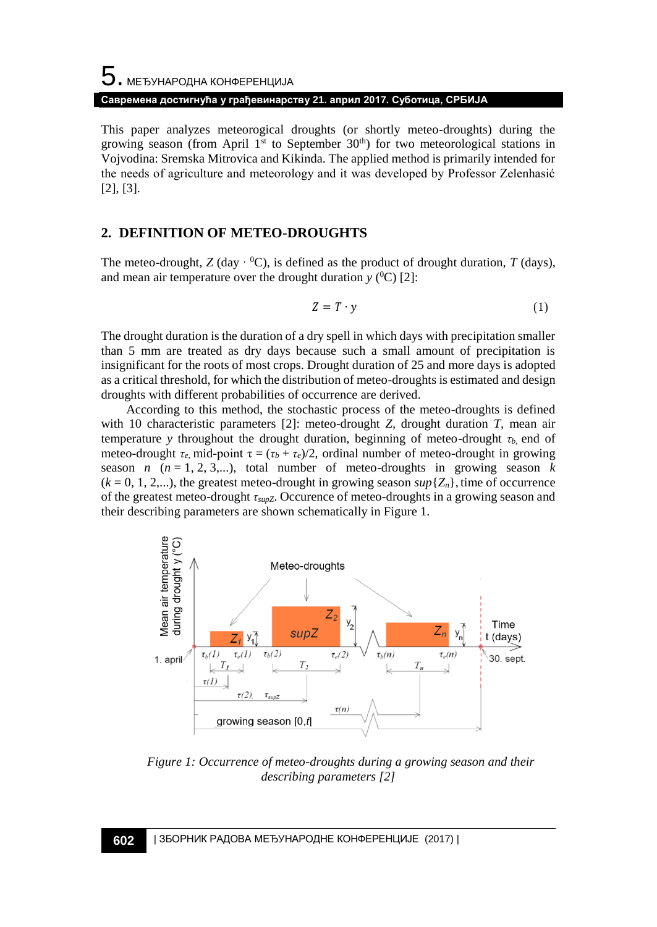# $5$ . међународна конференција **Савремена достигнућа у грађевинарству 21. април 2017. Суботица, СРБИЈА**

This paper analyzes meteorogical droughts (or shortly meteo-droughts) during the growing season (from April  $1<sup>st</sup>$  to September  $30<sup>th</sup>$ ) for two meteorological stations in Vojvodina: Sremska Mitrovica and Kikinda. The applied method is primarily intended for the needs of agriculture and meteorology and it was developed by Professor Zelenhasić [2], [3].

### **2. DEFINITION OF METEO-DROUGHTS**

The meteo-drought,  $Z$  (day  $\cdot {}^{0}C$ ), is defined as the product of drought duration,  $T$  (days), and mean air temperature over the drought duration  $y$  (<sup>0</sup>C) [2]:

$$
Z = T \cdot y \tag{1}
$$

The drought duration is the duration of a dry spell in which days with precipitation smaller than 5 mm are treated as dry days because such a small amount of precipitation is insignificant for the roots of most crops. Drought duration of 25 and more days is adopted as a critical threshold, for which the distribution of meteo-droughts is estimated and design droughts with different probabilities of occurrence are derived.

According to this method, the stochastic process of the meteo-droughts is defined with 10 characteristic parameters [2]: meteo-drought *Z,* drought duration *T,* mean air temperature *y* throughout the drought duration, beginning of meteo-drought *τb,* end of meteo-drought  $\tau_e$ , mid-point  $\tau = (\tau_b + \tau_e)/2$ , ordinal number of meteo-drought in growing season *n*  $(n = 1, 2, 3,...)$ , total number of meteo-droughts in growing season *k*  $(k = 0, 1, 2,...)$ , the greatest meteo-drought in growing season  $\sup\{Z_n\}$ , time of occurrence of the greatest meteo-drought *τsupZ*. Occurence of meteo-droughts in a growing season and their describing parameters are shown schematically in Figure 1.



*Figure 1: Occurrence of meteo-droughts during a growing season and their describing parameters [2]*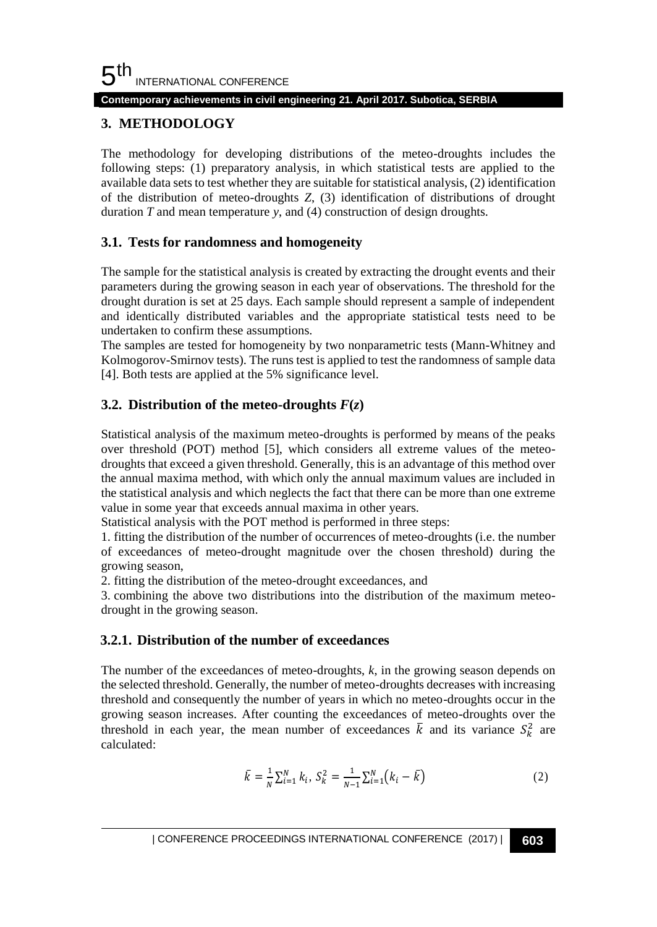#### **Contemporary achievements in civil engineering 21. April 2017. Subotica, SERBIA**

# **3. METHODOLOGY**

The methodology for developing distributions of the meteo-droughts includes the following steps: (1) preparatory analysis, in which statistical tests are applied to the available data sets to test whether they are suitable for statistical analysis, (2) identification of the distribution of meteo-droughts *Z*, (3) identification of distributions of drought duration *T* and mean temperature *y*, and (4) construction of design droughts.

## **3.1. Tests for randomness and homogeneity**

The sample for the statistical analysis is created by extracting the drought events and their parameters during the growing season in each year of observations. The threshold for the drought duration is set at 25 days. Each sample should represent a sample of independent and identically distributed variables and the appropriate statistical tests need to be undertaken to confirm these assumptions.

The samples are tested for homogeneity by two nonparametric tests (Mann-Whitney and Kolmogorov-Smirnov tests). The runs test is applied to test the randomness of sample data [4]. Both tests are applied at the 5% significance level.

# **3.2. Distribution of the meteo-droughts**  $F(z)$

Statistical analysis of the maximum meteo-droughts is performed by means of the peaks over threshold (POT) method [5], which considers all extreme values of the meteodroughts that exceed a given threshold. Generally, this is an advantage of this method over the annual maxima method, with which only the annual maximum values are included in the statistical analysis and which neglects the fact that there can be more than one extreme value in some year that exceeds annual maxima in other years.

Statistical analysis with the POT method is performed in three steps:

1. fitting the distribution of the number of occurrences of meteo-droughts (i.e. the number of exceedances of meteo-drought magnitude over the chosen threshold) during the growing season,

2. fitting the distribution of the meteo-drought exceedances, and

3. combining the above two distributions into the distribution of the maximum meteodrought in the growing season.

## **3.2.1. Distribution of the number of exceedances**

The number of the exceedances of meteo-droughts, *k*, in the growing season depends on the selected threshold. Generally, the number of meteo-droughts decreases with increasing threshold and consequently the number of years in which no meteo-droughts occur in the growing season increases. After counting the exceedances of meteo-droughts over the threshold in each year, the mean number of exceedances  $\bar{k}$  and its variance  $S_k^2$  are calculated:

$$
\bar{k} = \frac{1}{N} \sum_{i=1}^{N} k_i, \ S_k^2 = \frac{1}{N-1} \sum_{i=1}^{N} (k_i - \bar{k})
$$
 (2)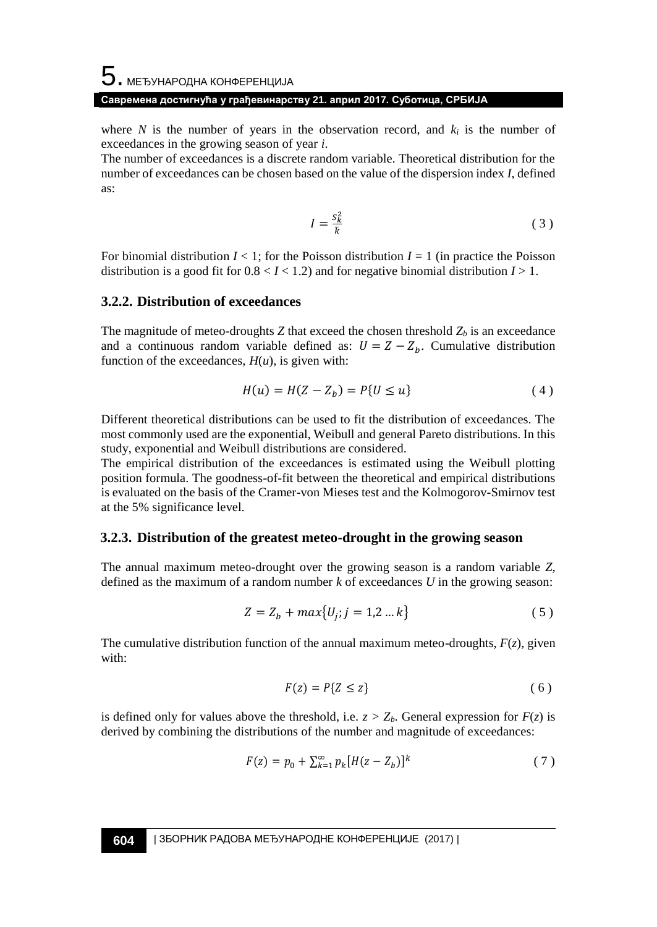# $\mathbf 5$ . међународна конференција **Савремена достигнућа у грађевинарству 21. април 2017. Суботица, СРБИЈА**

where *N* is the number of years in the observation record, and  $k_i$  is the number of exceedances in the growing season of year *i*.

The number of exceedances is a discrete random variable. Theoretical distribution for the number of exceedances can be chosen based on the value of the dispersion index *I*, defined as:

$$
I = \frac{s_k^2}{\bar{k}}\tag{3}
$$

For binomial distribution  $I \leq 1$ ; for the Poisson distribution  $I = 1$  (in practice the Poisson distribution is a good fit for  $0.8 < I < 1.2$ ) and for negative binomial distribution  $I > 1$ .

#### **3.2.2. Distribution of exceedances**

The magnitude of meteo-droughts  $Z$  that exceed the chosen threshold  $Z_b$  is an exceedance and a continuous random variable defined as:  $U = Z - Z_b$ . Cumulative distribution function of the exceedances,  $H(u)$ , is given with:

$$
H(u) = H(Z - Z_b) = P\{U \le u\}
$$
 (4)

Different theoretical distributions can be used to fit the distribution of exceedances. The most commonly used are the exponential, Weibull and general Pareto distributions. In this study, exponential and Weibull distributions are considered.

The empirical distribution of the exceedances is estimated using the Weibull plotting position formula. The goodness-of-fit between the theoretical and empirical distributions is evaluated on the basis of the Cramer-von Mieses test and the Kolmogorov-Smirnov test at the 5% significance level.

#### **3.2.3. Distribution of the greatest meteo-drought in the growing season**

The annual maximum meteo-drought over the growing season is a random variable *Z*, defined as the maximum of a random number *k* of exceedances *U* in the growing season:

$$
Z = Z_b + max\{U_j; j = 1, 2 \dots k\}
$$
 (5)

The cumulative distribution function of the annual maximum meteo-droughts,  $F(z)$ , given with:

$$
F(z) = P\{Z \le z\} \tag{6}
$$

is defined only for values above the threshold, i.e.  $z > Z_b$ . General expression for  $F(z)$  is derived by combining the distributions of the number and magnitude of exceedances:

$$
F(z) = p_0 + \sum_{k=1}^{\infty} p_k [H(z - Z_b)]^k
$$
 (7)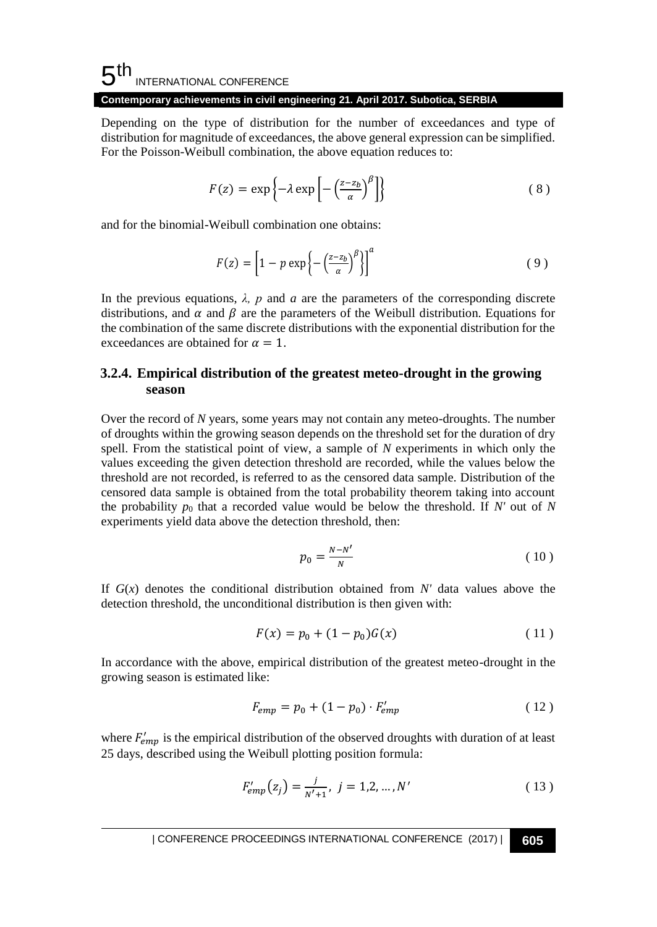#### 5 th INTERNATIONAL CONFERENCE

#### **Contemporary achievements in civil engineering 21. April 2017. Subotica, SERBIA**

Depending on the type of distribution for the number of exceedances and type of distribution for magnitude of exceedances, the above general expression can be simplified. For the Poisson-Weibull combination, the above equation reduces to:

$$
F(z) = \exp\left\{-\lambda \exp\left[-\left(\frac{z-z_b}{\alpha}\right)^{\beta}\right]\right\} \tag{8}
$$

and for the binomial-Weibull combination one obtains:

$$
F(z) = \left[1 - p \exp\left\{-\left(\frac{z - z_b}{\alpha}\right)^{\beta}\right\}\right]^a \tag{9}
$$

In the previous equations,  $\lambda$ , p and a are the parameters of the corresponding discrete distributions, and  $\alpha$  and  $\beta$  are the parameters of the Weibull distribution. Equations for the combination of the same discrete distributions with the exponential distribution for the exceedances are obtained for  $\alpha = 1$ .

## **3.2.4. Empirical distribution of the greatest meteo-drought in the growing season**

Over the record of *N* years, some years may not contain any meteo-droughts. The number of droughts within the growing season depends on the threshold set for the duration of dry spell. From the statistical point of view, a sample of *N* experiments in which only the values exceeding the given detection threshold are recorded, while the values below the threshold are not recorded, is referred to as the censored data sample. Distribution of the censored data sample is obtained from the total probability theorem taking into account the probability  $p_0$  that a recorded value would be below the threshold. If *N'* out of *N* experiments yield data above the detection threshold, then:

$$
p_0 = \frac{N - N'}{N} \tag{10}
$$

If  $G(x)$  denotes the conditional distribution obtained from N' data values above the detection threshold, the unconditional distribution is then given with:

$$
F(x) = p_0 + (1 - p_0)G(x)
$$
 (11)

In accordance with the above, empirical distribution of the greatest meteo-drought in the growing season is estimated like:

$$
F_{emp} = p_0 + (1 - p_0) \cdot F'_{emp} \tag{12}
$$

where  $F_{emp}'$  is the empirical distribution of the observed droughts with duration of at least 25 days, described using the Weibull plotting position formula:

$$
F'_{emp}(z_j) = \frac{j}{N'+1}, \ j = 1, 2, ..., N'
$$
 (13)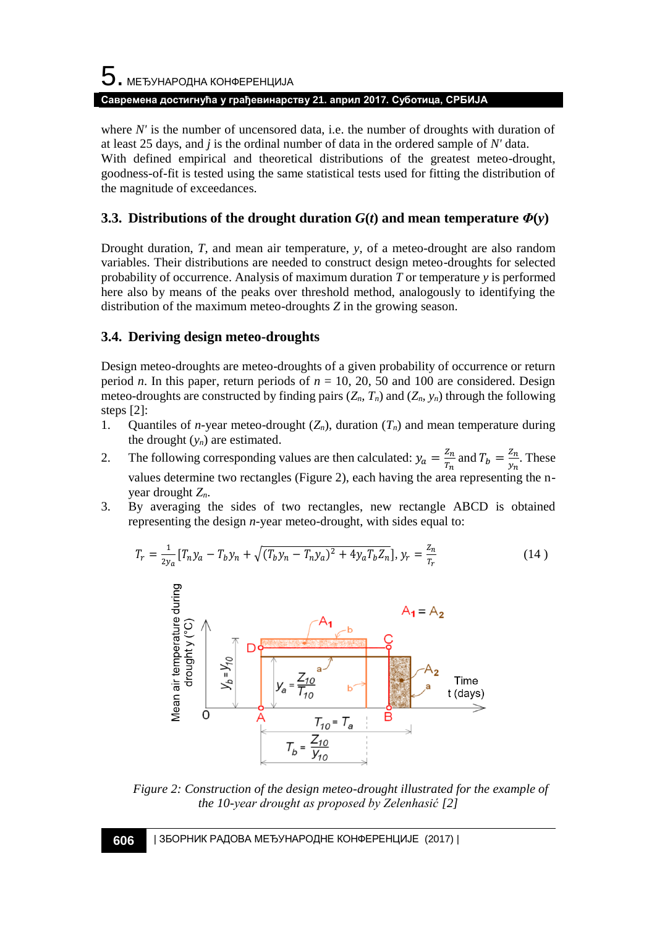# 5. МЕЂУНАРОДНА КОНФЕРЕНЦИЈА **Савремена достигнућа у грађевинарству 21. април 2017. Суботица, СРБИЈА**

where *N'* is the number of uncensored data, i.e. the number of droughts with duration of at least 25 days, and *j* is the ordinal number of data in the ordered sample of *N'* data. With defined empirical and theoretical distributions of the greatest meteo-drought, goodness-of-fit is tested using the same statistical tests used for fitting the distribution of the magnitude of exceedances.

# **3.3. Distributions of the drought duration**  $G(t)$  **and mean temperature**  $\Phi(y)$

Drought duration, *T,* and mean air temperature, *y,* of a meteo-drought are also random variables. Their distributions are needed to construct design meteo-droughts for selected probability of occurrence. Analysis of maximum duration *T* or temperature *y* is performed here also by means of the peaks over threshold method, analogously to identifying the distribution of the maximum meteo-droughts *Z* in the growing season.

### **3.4. Deriving design meteo-droughts**

Design meteo-droughts are meteo-droughts of a given probability of occurrence or return period *n*. In this paper, return periods of  $n = 10$ , 20, 50 and 100 are considered. Design meteo-droughts are constructed by finding pairs  $(Z_n, T_n)$  and  $(Z_n, y_n)$  through the following steps [2]:

- 1. Quantiles of *n*-year meteo-drought  $(Z_n)$ , duration  $(T_n)$  and mean temperature during the drought  $(y_n)$  are estimated.
- 2. The following corresponding values are then calculated:  $y_a = \frac{z_n}{T_a}$  $rac{Z_n}{T_n}$  and  $T_b = \frac{Z_n}{y_n}$  $\frac{2n}{y_n}$ . These values determine two rectangles (Figure 2), each having the area representing the nyear drought *Zn*.
- 3. By averaging the sides of two rectangles, new rectangle ABCD is obtained representing the design *n*-year meteo-drought, with sides equal to:

$$
T_r = \frac{1}{2y_a} [T_n y_a - T_b y_n + \sqrt{(T_b y_n - T_n y_a)^2 + 4y_a T_b Z_n}], y_r = \frac{Z_n}{T_r}
$$
(14)



*Figure 2: Construction of the design meteo-drought illustrated for the example of the 10-year drought as proposed by Zelenhasić [2]*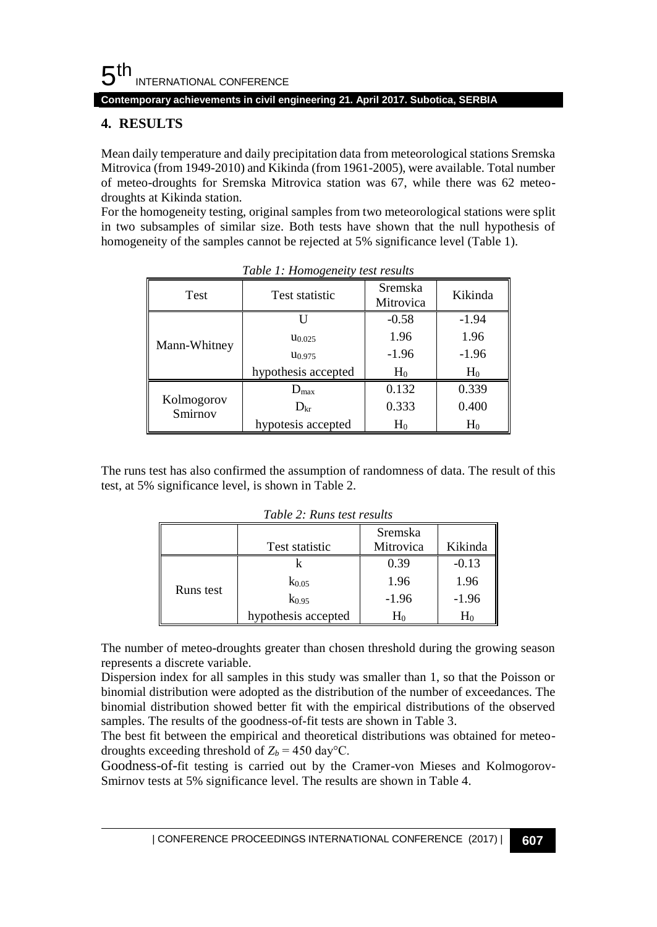5 th INTERNATIONAL CONFERENCE

**Contemporary achievements in civil engineering 21. April 2017. Subotica, SERBIA**

# **4. RESULTS**

Mean daily temperature and daily precipitation data from meteorological stations Sremska Mitrovica (from 1949-2010) and Kikinda (from 1961-2005), were available. Total number of meteo-droughts for Sremska Mitrovica station was 67, while there was 62 meteodroughts at Kikinda station.

For the homogeneity testing, original samples from two meteorological stations were split in two subsamples of similar size. Both tests have shown that the null hypothesis of homogeneity of the samples cannot be rejected at 5% significance level (Table 1).

| <b>Test</b>           | <b>Test statistic</b> | Sremska<br>Mitrovica | Kikinda |
|-----------------------|-----------------------|----------------------|---------|
|                       |                       | $-0.58$              | $-1.94$ |
| Mann-Whitney          | $u_{0.025}$           | 1.96                 | 1.96    |
|                       | U <sub>0.975</sub>    | $-1.96$              | $-1.96$ |
|                       | hypothesis accepted   | $H_0$                | $H_0$   |
|                       | $D_{\text{max}}$      | 0.132                | 0.339   |
| Kolmogorov<br>Smirnov | $D_{\rm kr}$          | 0.333                | 0.400   |
|                       | hypotesis accepted    | $H_0$                | $H_0$   |

*Table 1: Homogeneity test results*

The runs test has also confirmed the assumption of randomness of data. The result of this test, at 5% significance level, is shown in Table 2.

|           | Test statistic      | Sremska<br>Mitrovica | Kikinda |
|-----------|---------------------|----------------------|---------|
|           |                     | 0.39                 | $-0.13$ |
| Runs test | $K_{0.05}$          | 1.96                 | 1.96    |
|           | $k_{0.95}$          | $-1.96$              | $-1.96$ |
|           | hypothesis accepted | H٥                   | H٥      |

*Table 2: Runs test results*

The number of meteo-droughts greater than chosen threshold during the growing season represents a discrete variable.

Dispersion index for all samples in this study was smaller than 1, so that the Poisson or binomial distribution were adopted as the distribution of the number of exceedances. The binomial distribution showed better fit with the empirical distributions of the observed samples. The results of the goodness-of-fit tests are shown in Table 3.

The best fit between the empirical and theoretical distributions was obtained for meteodroughts exceeding threshold of  $Z_b = 450 \text{ day}^{\circ}\text{C}$ .

Goodness-of-fit testing is carried out by the Cramer-von Mieses and Kolmogorov-Smirnov tests at 5% significance level. The results are shown in Table 4.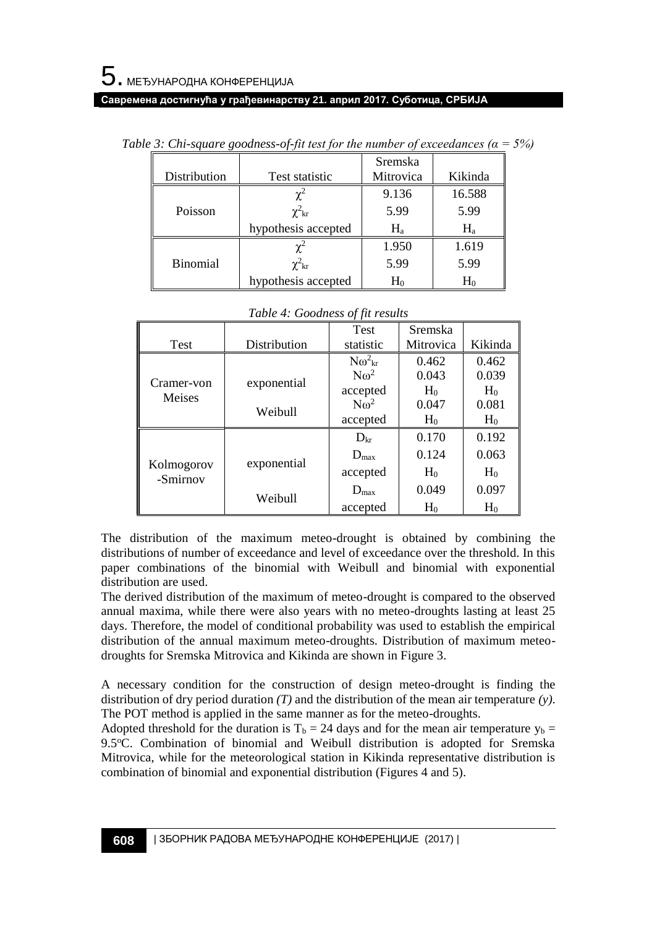#### **Савремена достигнућа у грађевинарству 21. април 2017. Суботица, СРБИЈА**

|                 |                       | Sremska   |         |
|-----------------|-----------------------|-----------|---------|
| Distribution    | <b>Test statistic</b> | Mitrovica |         |
|                 | $\gamma^2$            | 9.136     | 16.588  |
| Poisson         | $\chi^2_{\rm kr}$     | 5.99      | 5.99    |
|                 | hypothesis accepted   | $H_{a}$   | $H_{a}$ |
|                 | $\mathbf{v}^2$        | 1.950     | 1.619   |
| <b>Binomial</b> | $\chi^2_{\rm kr}$     | 5.99      | 5.99    |
|                 | hypothesis accepted   | $H_0$     | $H_0$   |

| Table 3: Chi-square goodness-of-fit test for the number of exceedances ( $a = 5\%)$ |  |  |
|-------------------------------------------------------------------------------------|--|--|
|                                                                                     |  |  |

|                        |              | <b>Test</b>          | Sremska        |                |
|------------------------|--------------|----------------------|----------------|----------------|
| Test                   | Distribution | statistic            | Mitrovica      | Kikinda        |
|                        |              | $N\omega_{\rm kr}^2$ | 0.462          | 0.462          |
| Cramer-von             |              | $N\omega^2$          | 0.043          | 0.039          |
| Meises                 | exponential  | accepted             | $H_0$          | $H_0$          |
|                        | Weibull      | $N\omega^2$          | 0.047          | 0.081          |
|                        |              | accepted             | H <sub>0</sub> | H <sub>0</sub> |
|                        |              | $D_{\rm kr}$         | 0.170          | 0.192          |
|                        |              | $D_{\text{max}}$     | 0.124          | 0.063          |
| Kolmogorov<br>-Smirnov | exponential  | accepted             | $H_0$          | H <sub>0</sub> |
|                        | Weibull      | $D_{\text{max}}$     | 0.049          | 0.097          |
|                        |              | accepted             | $H_0$          | $H_0$          |

| Table 4: Goodness of fit results |  |
|----------------------------------|--|
|----------------------------------|--|

The distribution of the maximum meteo-drought is obtained by combining the distributions of number of exceedance and level of exceedance over the threshold. In this paper combinations of the binomial with Weibull and binomial with exponential distribution are used.

The derived distribution of the maximum of meteo-drought is compared to the observed annual maxima, while there were also years with no meteo-droughts lasting at least 25 days. Therefore, the model of conditional probability was used to establish the empirical distribution of the annual maximum meteo-droughts. Distribution of maximum meteodroughts for Sremska Mitrovica and Kikinda are shown in Figure 3.

A necessary condition for the construction of design meteo-drought is finding the distribution of dry period duration *(T)* and the distribution of the mean air temperature *(y)*. The POT method is applied in the same manner as for the meteo-droughts.

Adopted threshold for the duration is  $T_b = 24$  days and for the mean air temperature  $y_b =$ 9.5°C. Combination of binomial and Weibull distribution is adopted for Sremska Mitrovica, while for the meteorological station in Kikinda representative distribution is combination of binomial and exponential distribution (Figures 4 and 5).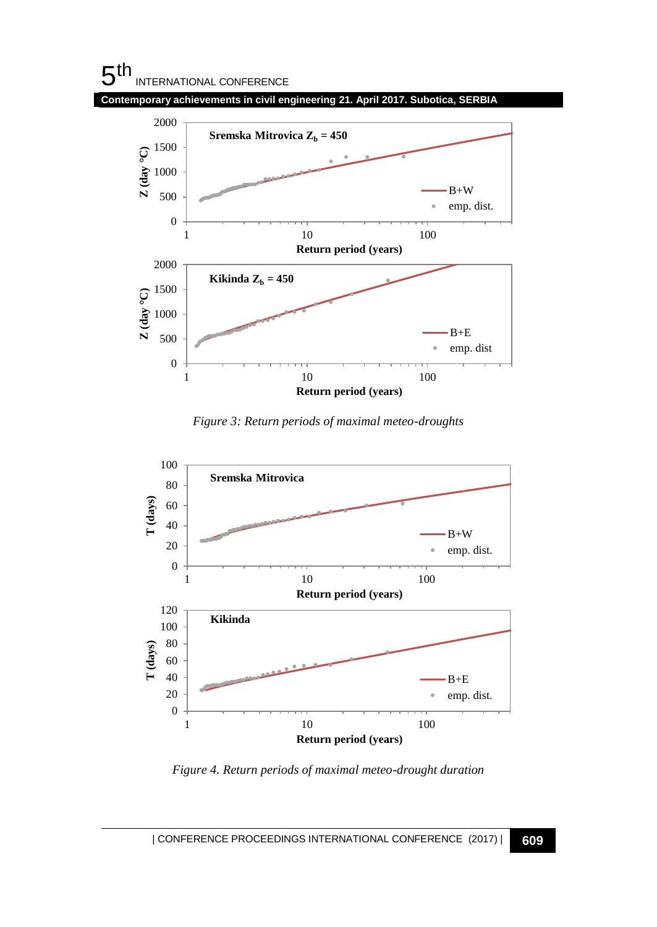# $5<sup>th</sup>$ INTERNATIONAL CONFERENCE

**Contemporary achievements in civil engineering 21. April 2017. Subotica, SERBIA**



*Figure 3: Return periods of maximal meteo-droughts* 



*Figure 4. Return periods of maximal meteo-drought duration*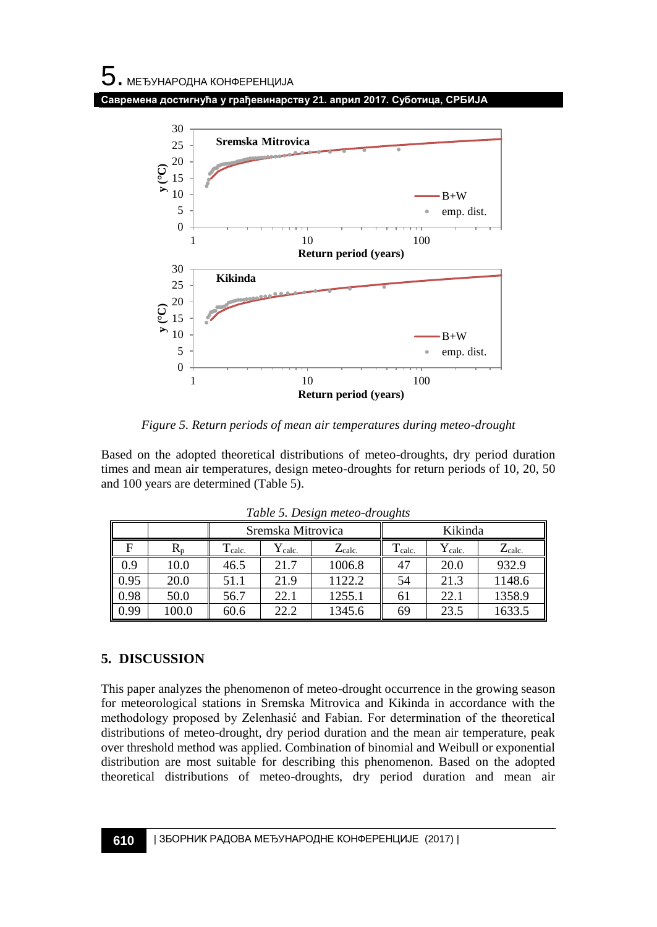**Савремена достигнућа у грађевинарству 21. април 2017. Суботица, СРБИЈА**



*Figure 5. Return periods of mean air temperatures during meteo-drought*

Based on the adopted theoretical distributions of meteo-droughts, dry period duration times and mean air temperatures, design meteo-droughts for return periods of 10, 20, 50 and 100 years are determined (Table 5).

|      |             | Sremska Mitrovica  |                    |                 |                    | Kikinda             |                     |
|------|-------------|--------------------|--------------------|-----------------|--------------------|---------------------|---------------------|
|      | $R_{\rm n}$ | $\mathbf{I}$ calc. | $Y_{\text{calc.}}$ | $Z_{\rm calc.}$ | $\mathbf{I}$ calc. | $\rm Y_{\rm calc.}$ | $\rm Z_{\rm calc.}$ |
| 0.9  | 10.0        | 46.5               | 21.7               | 1006.8          | 47                 | 20.0                | 932.9               |
| 0.95 | 20.0        | 51.1               | 21.9               | 1122.2          | 54                 | 21.3                | 1148.6              |
| 0.98 | 50.0        | 56.7               | 22.1               | 1255.1          | 61                 | 22.1                | 1358.9              |
| 0.99 | 100.0       | 60.6               | 22.2               | 1345.6          | 69                 | 23.5                | 1633.5              |

*Table 5. Design meteo-droughts*

# **5. DISCUSSION**

This paper analyzes the phenomenon of meteo-drought occurrence in the growing season for meteorological stations in Sremska Mitrovica and Kikinda in accordance with the methodology proposed by Zelenhasić and Fabian. For determination of the theoretical distributions of meteo-drought, dry period duration and the mean air temperature, peak over threshold method was applied. Combination of binomial and Weibull or exponential distribution are most suitable for describing this phenomenon. Based on the adopted theoretical distributions of meteo-droughts, dry period duration and mean air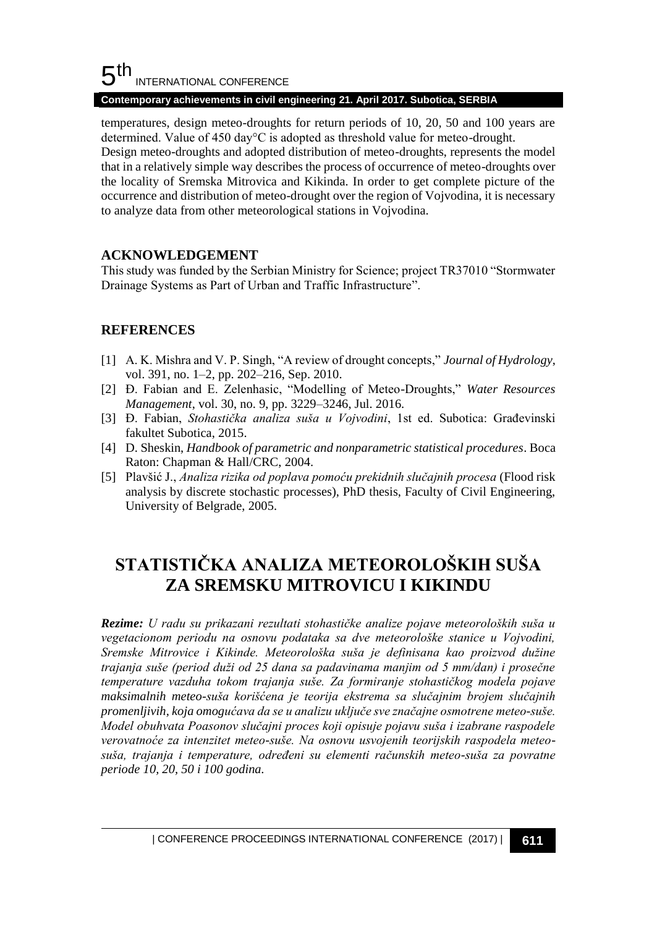#### 5 th INTERNATIONAL CONFERENCE

#### **Contemporary achievements in civil engineering 21. April 2017. Subotica, SERBIA**

temperatures, design meteo-droughts for return periods of 10, 20, 50 and 100 years are determined. Value of 450 day°C is adopted as threshold value for meteo-drought. Design meteo-droughts and adopted distribution of meteo-droughts, represents the model that in a relatively simple way describes the process of occurrence of meteo-droughts over the locality of Sremska Mitrovica and Kikinda. In order to get complete picture of the occurrence and distribution of meteo-drought over the region of Vojvodina, it is necessary to analyze data from other meteorological stations in Vojvodina.

## **ACKNOWLEDGEMENT**

This study was funded by the Serbian Ministry for Science; project TR37010 "Stormwater Drainage Systems as Part of Urban and Traffic Infrastructure".

# **REFERENCES**

- [1] A. K. Mishra and V. P. Singh, "A review of drought concepts," *Journal of Hydrology*, vol. 391, no. 1–2, pp. 202–216, Sep. 2010.
- [2] Đ. Fabian and E. Zelenhasic, "Modelling of Meteo-Droughts," *Water Resources Management*, vol. 30, no. 9, pp. 3229–3246, Jul. 2016.
- [3] Đ. Fabian, *Stohastička analiza suša u Vojvodini*, 1st ed. Subotica: Građevinski fakultet Subotica, 2015.
- [4] D. Sheskin, *Handbook of parametric and nonparametric statistical procedures*. Boca Raton: Chapman & Hall/CRC, 2004.
- [5] Plavšić J., *Analiza rizika od poplava pomoću prekidnih slučajnih procesa* (Flood risk analysis by discrete stochastic processes), PhD thesis, Faculty of Civil Engineering, University of Belgrade, 2005.

# **STATISTIČKA ANALIZA METEOROLOŠKIH SUŠA ZA SREMSKU MITROVICU I KIKINDU**

*Rezime: U radu su prikazani rezultati stohastičke analize pojave meteoroloških suša u vegetacionom periodu na osnovu podataka sa dve meteorološke stanice u Vojvodini, Sremske Mitrovice i Kikinde. Meteorološka suša je definisana kao proizvod dužine trajanja suše (period duži od 25 dana sa padavinama manjim od 5 mm/dan) i prosečne temperature vazduha tokom trajanja suše. Za formiranje stohastičkog modela pojave maksimalnih meteo-suša korišćena je teorija ekstrema sa slučajnim brojem slučajnih promenljivih, koja omogućava da se u analizu uključe sve značajne osmotrene meteo-suše. Model obuhvata Poasonov slučajni proces koji opisuje pojavu suša i izabrane raspodele verovatnoće za intenzitet meteo-suše. Na osnovu usvojenih teorijskih raspodela meteosuša, trajanja i temperature, određeni su elementi računskih meteo-suša za povratne periode 10, 20, 50 i 100 godina.*